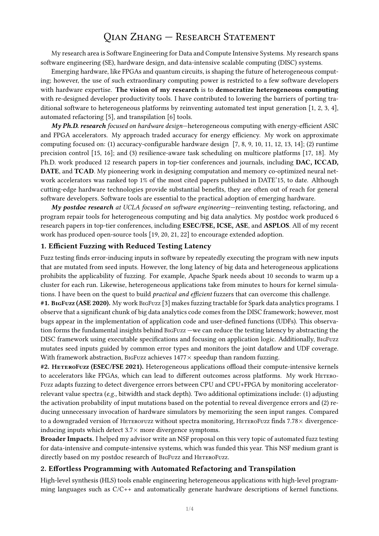# Qian Zhang — Research Statement

My research area is Software Engineering for Data and Compute Intensive Systems. My research spans software engineering (SE), hardware design, and data-intensive scalable computing (DISC) systems.

Emerging hardware, like FPGAs and quantum circuits, is shaping the future of heterogeneous computing; however, the use of such extraordinary computing power is restricted to a few software developers with hardware expertise. The vision of my research is to democratize heterogeneous computing with re-designed developer productivity tools. I have contributed to lowering the barriers of porting traditional software to heterogeneous platforms by reinventing automated test input generation [1, 2, 3, 4], automated refactoring [5], and transpilation [6] tools.

My Ph.D. research focused on hardware design-heterogeneous computing with energy-efficient ASIC and FPGA accelerators. My approach traded accuracy for energy efficiency. My work on approximate computing focused on: (1) accuracy-configurable hardware design [7, 8, 9, 10, 11, 12, 13, 14]; (2) runtime precision control [15, 16]; and (3) resilience-aware task scheduling on multicore platforms [17, 18]. My Ph.D. work produced 12 research papers in top-tier conferences and journals, including DAC, ICCAD, DATE, and TCAD. My pioneering work in designing computation and memory co-optimized neural network accelerators was ranked top 1% of the most cited papers published in DATE'15, to date. Although cutting-edge hardware technologies provide substantial benefits, they are often out of reach for general software developers. Software tools are essential to the practical adoption of emerging hardware.

 $M<sub>V</sub>$  postdoc research at UCLA focused on software engineering—reinventing testing, refactoring, and program repair tools for heterogeneous computing and big data analytics. My postdoc work produced 6 research papers in top-tier conferences, including ESEC/FSE, ICSE, ASE, and ASPLOS. All of my recent work has produced open-source tools [19, 20, 21, 22] to encourage extended adoption.

#### 1. Efficient Fuzzing with Reduced Testing Latency

Fuzz testing finds error-inducing inputs in software by repeatedly executing the program with new inputs that are mutated from seed inputs. However, the long latency of big data and heterogeneous applications prohibits the applicability of fuzzing. For example, Apache Spark needs about 10 seconds to warm up a cluster for each run. Likewise, heterogeneous applications take from minutes to hours for kernel simulations. I have been on the quest to build *practical and efficient* fuzzers that can overcome this challenge.

#1. BigFuzz (ASE 2020). My work BigFuzz [3] makes fuzzing tractable for Spark data analytics programs. I observe that a significant chunk of big data analytics code comes from the DISC framework; however, most bugs appear in the implementation of application code and user-defined functions (UDFs). This observation forms the fundamental insights behind BigFuzz —we can reduce the testing latency by abstracting the DISC framework using executable specifications and focusing on application logic. Additionally, BigFuzz mutates seed inputs guided by common error types and monitors the joint dataflow and UDF coverage. With framework abstraction, BigFuzz achieves  $1477\times$  speedup than random fuzzing.

#2. HeteroFuzz (ESEC/FSE 2021). Heterogeneous applications offload their compute-intensive kernels to accelerators like FPGAs, which can lead to different outcomes across platforms. My work HETERO-Fuzz adapts fuzzing to detect divergence errors between CPU and CPU+FPGA by monitoring acceleratorrelevant value spectra  $(e.g.,$  bitwidth and stack depth). Two additional optimizations include: (1) adjusting the activation probability of input mutations based on the potential to reveal divergence errors and (2) reducing unnecessary invocation of hardware simulators by memorizing the seen input ranges. Compared to a downgraded version of HETEROFUZZ without spectra monitoring, HETEROFUZZ finds  $7.78\times$  divergenceinducing inputs which detect  $3.7\times$  more divergence symptoms.

Broader Impacts. I helped my advisor write an NSF proposal on this very topic of automated fuzz testing for data-intensive and compute-intensive systems, which was funded this year. This NSF medium grant is directly based on my postdoc research of BIGFUZZ and HETEROFUZZ.

### 2. Effortless Programming with Automated Refactoring and Transpilation

High-level synthesis (HLS) tools enable engineering heterogeneous applications with high-level programming languages such as C/C++ and automatically generate hardware descriptions of kernel functions.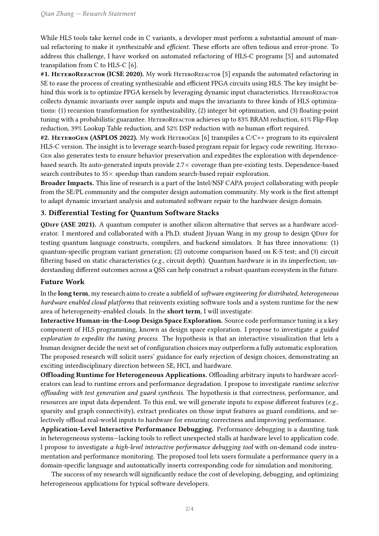While HLS tools take kernel code in C variants, a developer must perform a substantial amount of manual refactoring to make it *synthesizable* and *efficient*. These efforts are often tedious and error-prone. To address this challenge, I have worked on automated refactoring of HLS-C programs [5] and automated transpilation from C to HLS-C [6].

#1. HETEROREFACTOR (ICSE 2020). My work HETEROREFACTOR [5] expands the automated refactoring in SE to ease the process of creating synthesizable and efficient FPGA circuits using HLS. The key insight behind this work is to optimize FPGA kernels by leveraging dynamic input characteristics. HETEROREFACTOR collects dynamic invariants over sample inputs and maps the invariants to three kinds of HLS optimizations: (1) recursion transformation for synthesizability, (2) integer bit optimization, and (3) floating-point tuning with a probabilistic guarantee. HeteroRefactor achieves up to 83% BRAM reduction, 61% Flip-Flop reduction, 39% Lookup Table reduction, and 52% DSP reduction with no human effort required.

#2. HETEROGEN (ASPLOS 2022). My work HETEROGEN [6] transpiles a C/C++ program to its equivalent HLS-C version. The insight is to leverage search-based program repair for legacy code rewriting. HETERO-Gen also generates tests to ensure behavior preservation and expedites the exploration with dependencebased search. Its auto-generated inputs provide 2.7× coverage than pre-existing tests. Dependence-based search contributes to  $35\times$  speedup than random search-based repair exploration.

Broader Impacts. This line of research is a part of the Intel/NSF CAPA project collaborating with people from the SE/PL community and the computer design automation community. My work is the first attempt to adapt dynamic invariant analysis and automated software repair to the hardware design domain.

## 3. Differential Testing for Quantum Software Stacks

QDiff (ASE 2021). A quantum computer is another silicon alternative that serves as a hardware accelerator. I mentored and collaborated with a Ph.D. student Jiyuan Wang in my group to design ODIFF for testing quantum language constructs, compilers, and backend simulators. It has three innovations: (1) quantum-specific program variant generation; (2) outcome comparison based on K-S test; and (3) circuit filtering based on static characteristics (e.g., circuit depth). Quantum hardware is in its imperfection; understanding different outcomes across a QSS can help construct a robust quantum ecosystem in the future.

## Future Work

In the long term, my research aims to create a subfield of software engineering for distributed, heterogeneous hardware enabled cloud platforms that reinvents existing software tools and a system runtime for the new area of heterogeneity-enabled clouds. In the short term, I will investigate:

Interactive Human-in-the-Loop Design Space Exploration. Source code performance tuning is a key component of HLS programming, known as design space exploration. I propose to investigate a guided exploration to expedite the tuning process. The hypothesis is that an interactive visualization that lets a human designer decide the next set of configuration choices may outperform a fully automatic exploration. The proposed research will solicit users' guidance for early rejection of design choices, demonstrating an exciting interdisciplinary direction between SE, HCI, and hardware.

Offloading Runtime for Heterogeneous Applications. Offloading arbitrary inputs to hardware accelerators can lead to runtime errors and performance degradation. I propose to investigate runtime selective offloading with test generation and guard synthesis. The hypothesis is that correctness, performance, and resources are input data dependent. To this end, we will generate inputs to expose different features ( $e.g.,$ sparsity and graph connectivity), extract predicates on those input features as guard conditions, and selectively offload real-world inputs to hardware for ensuring correctness and improving performance.

Application-Level Interactive Performance Debugging. Performance debugging is a daunting task in heterogeneous systems—lacking tools to reflect unexpected stalls at hardware level to application code. I propose to investigate a high-level interactive performance debugging tool with on-demand code instrumentation and performance monitoring. The proposed tool lets users formulate a performance query in a domain-specific language and automatically inserts corresponding code for simulation and monitoring.

The success of my research will significantly reduce the cost of developing, debugging, and optimizing heterogeneous applications for typical software developers.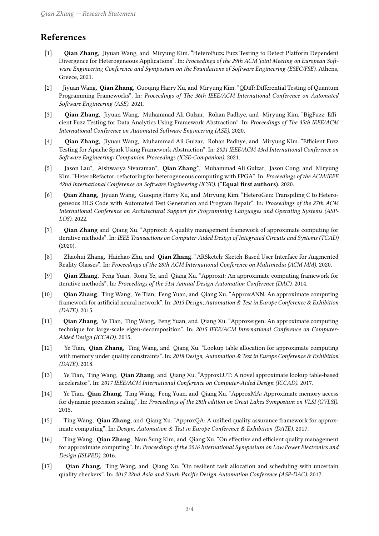## References

- [1] Qian Zhang, Jiyuan Wang, and Miryung Kim. "HeteroFuzz: Fuzz Testing to Detect Platform Dependent Divergence for Heterogeneous Applications". In: Proceedings of the 29th ACM Joint Meeting on European Software Engineering Conference and Symposium on the Foundations of Software Engineering (ESEC/FSE). Athens, Greece, 2021.
- [2] Jiyuan Wang, **Qian Zhang**, Guoqing Harry Xu, and Miryung Kim. "ODiff: Differential Testing of Quantum Programming Frameworks". In: Proceedings of The 36th IEEE/ACM International Conference on Automated Software Engineering (ASE). 2021.
- [3] Qian Zhang, Jiyuan Wang, Muhammad Ali Gulzar, Rohan Padhye, and Miryung Kim. "BigFuzz: Efficient Fuzz Testing for Data Analytics Using Framework Abstraction". In: Proceedings of The 35th IEEE/ACM International Conference on Automated Software Engineering (ASE). 2020.
- [4] Qian Zhang, Jiyuan Wang, Muhammad Ali Gulzar, Rohan Padhye, and Miryung Kim. "Efficient Fuzz Testing for Apache Spark Using Framework Abstraction". In: 2021 IEEE/ACM 43rd International Conference on Software Engineering: Companion Proceedings (ICSE-Companion). 2021.
- [5] Jason Lau\*, Aishwarya Sivaraman\*, Qian Zhang\*, Muhammad Ali Gulzar, Jason Cong, and Miryung Kim. "HeteroRefactor: refactoring for heterogeneous computing with FPGA". In: Proceedings of the ACM/IEEE 42nd International Conference on Software Engineering (ICSE). (\*Equal first authors). 2020.
- [6] Qian Zhang, Jiyuan Wang, Guoqing Harry Xu, and Miryung Kim. "HeteroGen: Transpiling C to Heterogeneous HLS Code with Automated Test Generation and Program Repair". In: Proceedings of the 27th ACM International Conference on Architectural Support for Programming Languages and Operating Systems (ASP-LOS). 2022.
- [7] Qian Zhang and Qiang Xu. "Approxit: A quality management framework of approximate computing for iterative methods". In: IEEE Transactions on Computer-Aided Design of Integrated Circuits and Systems (TCAD) (2020).
- [8] Zhaohui Zhang, Haichao Zhu, and **Qian Zhang**. "ARSketch: Sketch-Based User Interface for Augmented Reality Glasses". In: Proceedings of the 28th ACM International Conference on Multimedia (ACM MM). 2020.
- [9] Qian Zhang, Feng Yuan, Rong Ye, and Qiang Xu. "Approxit: An approximate computing framework for iterative methods". In: Proceedings of the 51st Annual Design Automation Conference (DAC). 2014.
- [10] Qian Zhang, Ting Wang, Ye Tian, Feng Yuan, and Qiang Xu. "ApproxANN: An approximate computing framework for artificial neural network". In: 2015 Design, Automation & Test in Europe Conference & Exhibition (DATE). 2015.
- [11] Qian Zhang, Ye Tian, Ting Wang, Feng Yuan, and Qiang Xu. "Approxeigen: An approximate computing technique for large-scale eigen-decomposition". In: 2015 IEEE/ACM International Conference on Computer-Aided Design (ICCAD). 2015.
- [12] Ye Tian, Qian Zhang, Ting Wang, and Qiang Xu. "Lookup table allocation for approximate computing with memory under quality constraints". In: 2018 Design, Automation & Test in Europe Conference & Exhibition (DATE). 2018.
- [13] Ye Tian, Ting Wang, Qian Zhang, and Qiang Xu. "ApproxLUT: A novel approximate lookup table-based accelerator". In: 2017 IEEE/ACM International Conference on Computer-Aided Design (ICCAD). 2017.
- [14] Ye Tian, Qian Zhang, Ting Wang, Feng Yuan, and Qiang Xu. "ApproxMA: Approximate memory access for dynamic precision scaling". In: Proceedings of the 25th edition on Great Lakes Symposium on VLSI (GVLSI). 2015.
- [15] Ting Wang, Qian Zhang, and Qiang Xu. "ApproxQA: A unified quality assurance framework for approximate computing". In: Design, Automation & Test in Europe Conference & Exhibition (DATE). 2017.
- [16] Ting Wang, Qian Zhang, Nam Sung Kim, and Qiang Xu. "On effective and efficient quality management for approximate computing". In: Proceedings of the 2016 International Symposium on Low Power Electronics and Design (ISLPED). 2016.
- [17] Qian Zhang, Ting Wang, and Qiang Xu. "On resilient task allocation and scheduling with uncertain quality checkers". In: 2017 22nd Asia and South Pacific Design Automation Conference (ASP-DAC). 2017.